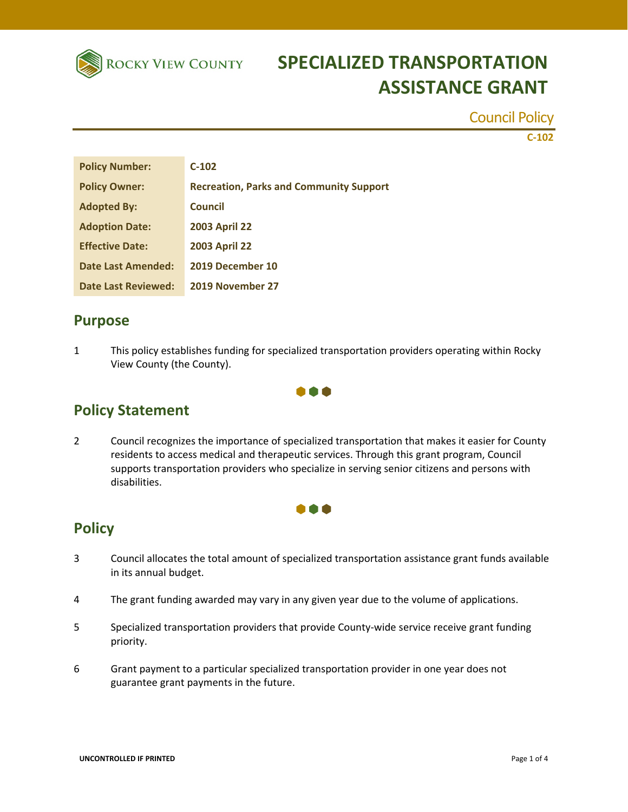

## **ROCKY VIEW COUNTY SPECIALIZED TRANSPORTATION ASSISTANCE GRANT**

Council Policy

**C‐102**

| <b>Policy Number:</b>  | $C-102$                                        |
|------------------------|------------------------------------------------|
| <b>Policy Owner:</b>   | <b>Recreation, Parks and Community Support</b> |
| <b>Adopted By:</b>     | <b>Council</b>                                 |
| <b>Adoption Date:</b>  | <b>2003 April 22</b>                           |
| <b>Effective Date:</b> | <b>2003 April 22</b>                           |
| Date Last Amended:     | 2019 December 10                               |
| Date Last Reviewed:    | 2019 November 27                               |

#### **Purpose**

1 This policy establishes funding for specialized transportation providers operating within Rocky View County (the County).



### **Policy Statement**

2 Council recognizes the importance of specialized transportation that makes it easier for County residents to access medical and therapeutic services. Through this grant program, Council supports transportation providers who specialize in serving senior citizens and persons with disabilities.



#### **Policy**

- 3 Council allocates the total amount of specialized transportation assistance grant funds available in its annual budget.
- 4 The grant funding awarded may vary in any given year due to the volume of applications.
- 5 Specialized transportation providers that provide County-wide service receive grant funding priority.
- 6 Grant payment to a particular specialized transportation provider in one year does not guarantee grant payments in the future.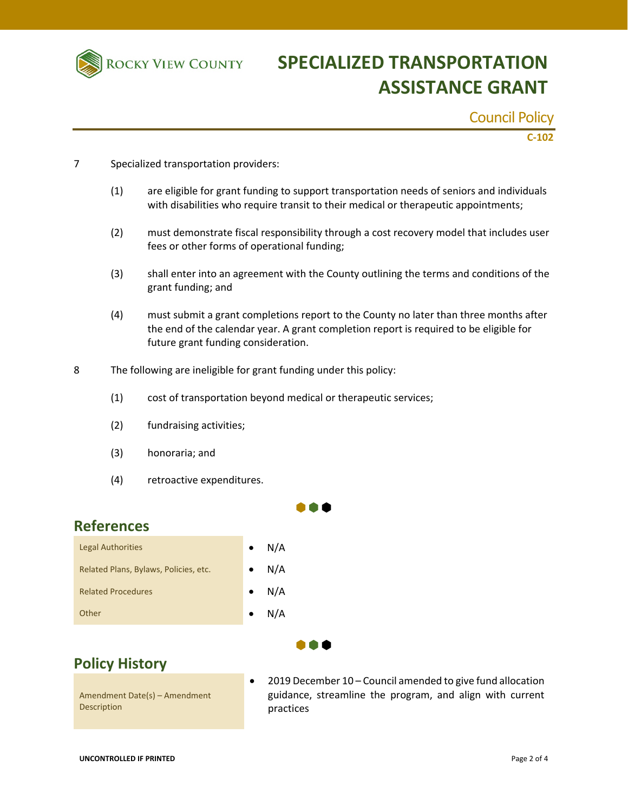

# **ROCKY VIEW COUNTY SPECIALIZED TRANSPORTATION ASSISTANCE GRANT**

Council Policy

**C‐102**

- 7 Specialized transportation providers:
	- (1) are eligible for grant funding to support transportation needs of seniors and individuals with disabilities who require transit to their medical or therapeutic appointments;
	- (2) must demonstrate fiscal responsibility through a cost recovery model that includes user fees or other forms of operational funding;
	- (3) shall enter into an agreement with the County outlining the terms and conditions of the grant funding; and
	- (4) must submit a grant completions report to the County no later than three months after the end of the calendar year. A grant completion report is required to be eligible for future grant funding consideration.
- 8 The following are ineligible for grant funding under this policy:
	- (1) cost of transportation beyond medical or therapeutic services;
	- (2) fundraising activities;
	- (3) honoraria; and
	- (4) retroactive expenditures.

#### **References**

| <b>Legal Authorities</b>              | $\bullet$ | N/A           |
|---------------------------------------|-----------|---------------|
| Related Plans, Bylaws, Policies, etc. |           | N/A           |
| <b>Related Procedures</b>             |           | $\bullet$ N/A |
| Other                                 |           | N/A           |



## **Policy History**

Amendment Date(s) – Amendment **Description** 

 2019 December 10 – Council amended to give fund allocation guidance, streamline the program, and align with current practices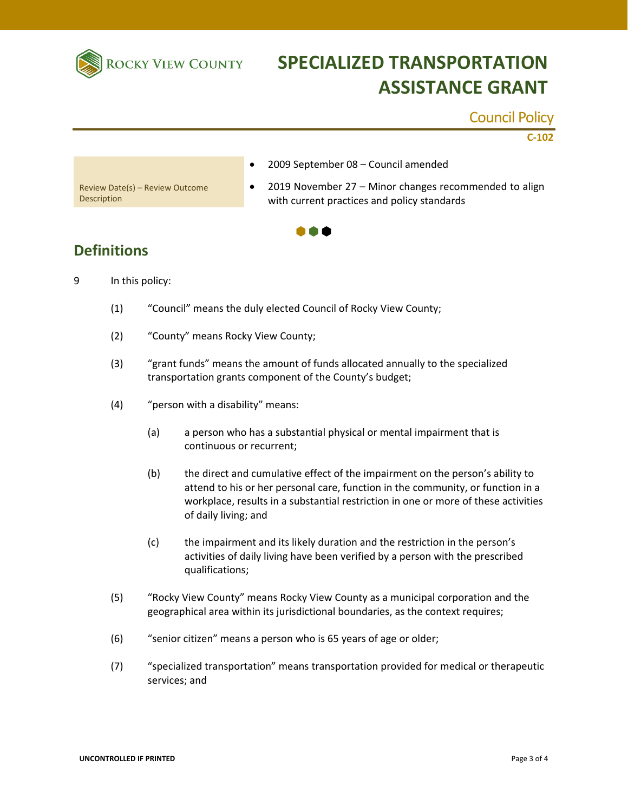

## **SPECIALIZED TRANSPORTATION ASSISTANCE GRANT**

#### Council Policy

**C‐102**

2009 September 08 – Council amended

Review Date(s) – Review Outcome Description

• 2019 November 27 – Minor changes recommended to align with current practices and policy standards



### **Definitions**

- 9 In this policy:
	- (1) "Council" means the duly elected Council of Rocky View County;
	- (2) "County" means Rocky View County;
	- (3) "grant funds" means the amount of funds allocated annually to the specialized transportation grants component of the County's budget;
	- (4) "person with a disability" means:
		- (a) a person who has a substantial physical or mental impairment that is continuous or recurrent;
		- (b) the direct and cumulative effect of the impairment on the person's ability to attend to his or her personal care, function in the community, or function in a workplace, results in a substantial restriction in one or more of these activities of daily living; and
		- (c) the impairment and its likely duration and the restriction in the person's activities of daily living have been verified by a person with the prescribed qualifications;
	- (5) "Rocky View County" means Rocky View County as a municipal corporation and the geographical area within its jurisdictional boundaries, as the context requires;
	- (6) "senior citizen" means a person who is 65 years of age or older;
	- (7) "specialized transportation" means transportation provided for medical or therapeutic services; and